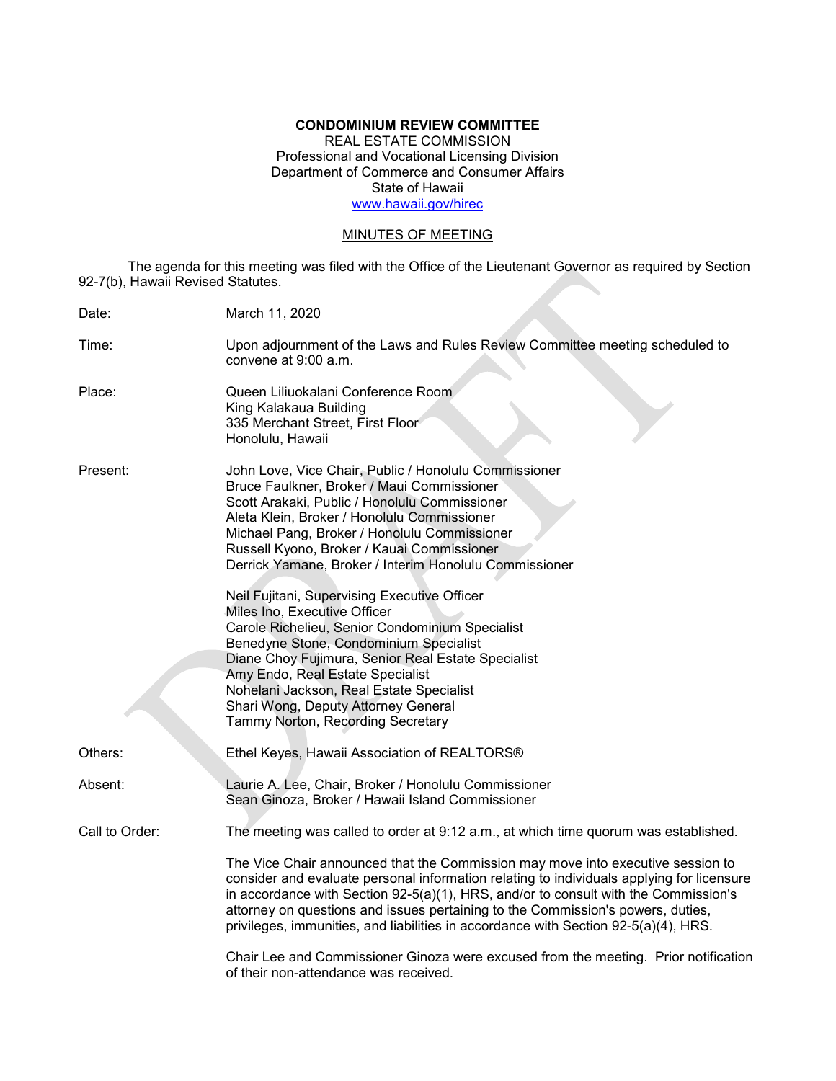### **CONDOMINIUM REVIEW COMMITTEE**

REAL ESTATE COMMISSION Professional and Vocational Licensing Division Department of Commerce and Consumer Affairs State of Hawaii [www.hawaii.gov/hirec](http://www.state.hi.us/hirec)

# MINUTES OF MEETING

The agenda for this meeting was filed with the Office of the Lieutenant Governor as required by Section 92-7(b), Hawaii Revised Statutes.

| Date:          | March 11, 2020                                                                                                                                                                                                                                                                                                                                                                                                                                                                                                                                                                                                                                                                                                                                             |
|----------------|------------------------------------------------------------------------------------------------------------------------------------------------------------------------------------------------------------------------------------------------------------------------------------------------------------------------------------------------------------------------------------------------------------------------------------------------------------------------------------------------------------------------------------------------------------------------------------------------------------------------------------------------------------------------------------------------------------------------------------------------------------|
| Time:          | Upon adjournment of the Laws and Rules Review Committee meeting scheduled to<br>convene at 9:00 a.m.                                                                                                                                                                                                                                                                                                                                                                                                                                                                                                                                                                                                                                                       |
| Place:         | Queen Liliuokalani Conference Room<br>King Kalakaua Building<br>335 Merchant Street, First Floor<br>Honolulu, Hawaii                                                                                                                                                                                                                                                                                                                                                                                                                                                                                                                                                                                                                                       |
| Present:       | John Love, Vice Chair, Public / Honolulu Commissioner<br>Bruce Faulkner, Broker / Maui Commissioner<br>Scott Arakaki, Public / Honolulu Commissioner<br>Aleta Klein, Broker / Honolulu Commissioner<br>Michael Pang, Broker / Honolulu Commissioner<br>Russell Kyono, Broker / Kauai Commissioner<br>Derrick Yamane, Broker / Interim Honolulu Commissioner<br>Neil Fujitani, Supervising Executive Officer<br>Miles Ino, Executive Officer<br>Carole Richelieu, Senior Condominium Specialist<br>Benedyne Stone, Condominium Specialist<br>Diane Choy Fujimura, Senior Real Estate Specialist<br>Amy Endo, Real Estate Specialist<br>Nohelani Jackson, Real Estate Specialist<br>Shari Wong, Deputy Attorney General<br>Tammy Norton, Recording Secretary |
| Others:        | Ethel Keyes, Hawaii Association of REALTORS®                                                                                                                                                                                                                                                                                                                                                                                                                                                                                                                                                                                                                                                                                                               |
| Absent:        | Laurie A. Lee, Chair, Broker / Honolulu Commissioner<br>Sean Ginoza, Broker / Hawaii Island Commissioner                                                                                                                                                                                                                                                                                                                                                                                                                                                                                                                                                                                                                                                   |
| Call to Order: | The meeting was called to order at 9:12 a.m., at which time quorum was established.                                                                                                                                                                                                                                                                                                                                                                                                                                                                                                                                                                                                                                                                        |
|                | The Vice Chair announced that the Commission may move into executive session to<br>consider and evaluate personal information relating to individuals applying for licensure<br>in accordance with Section $92-5(a)(1)$ , HRS, and/or to consult with the Commission's<br>attorney on questions and issues pertaining to the Commission's powers, duties,<br>privileges, immunities, and liabilities in accordance with Section 92-5(a)(4), HRS.                                                                                                                                                                                                                                                                                                           |
|                | Chair Lee and Commissioner Ginoza were excused from the meeting. Prior notification<br>of their non-attendance was received.                                                                                                                                                                                                                                                                                                                                                                                                                                                                                                                                                                                                                               |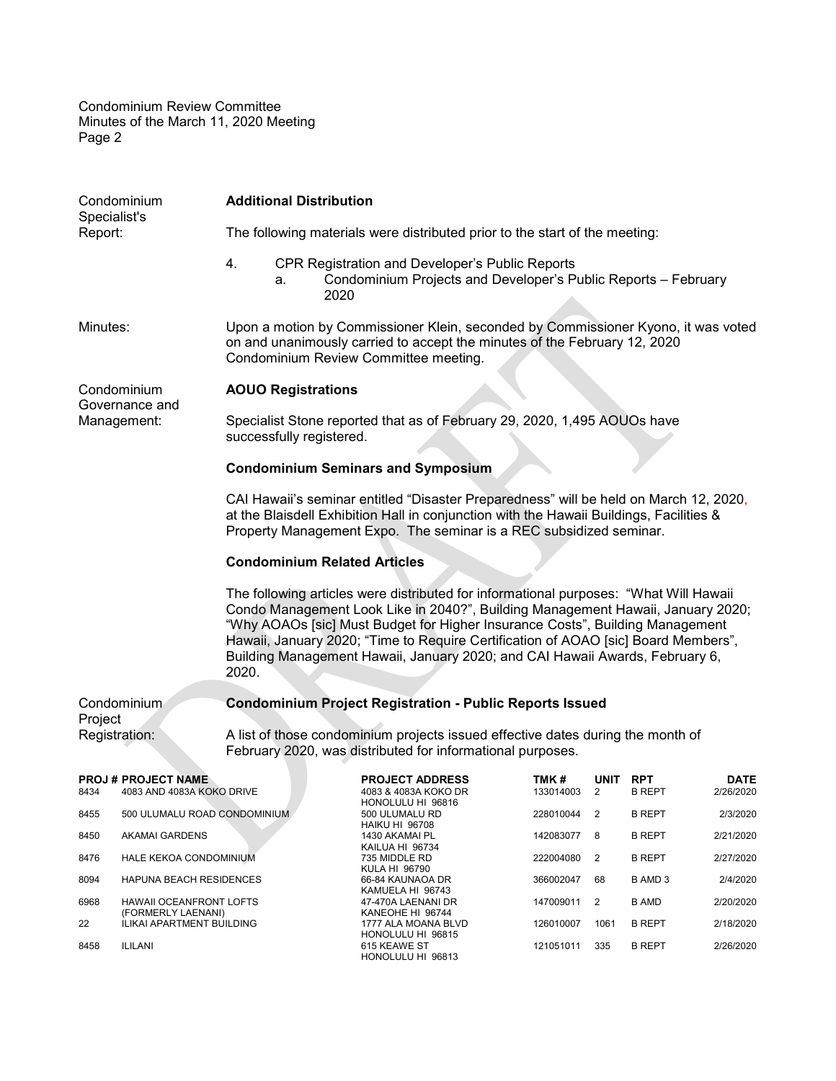Condominium Review Committee Minutes of the March 11, 2020 Meeting Page 2

| <b>Additional Distribution</b><br>Condominium<br>Specialist's                                                                                                                                                                                                                                                                                                                                                                            |                                                        |                                                                                                                                                                                                                                                        |    |                                                                              |                                                                                                                                               |           |                   |               |                             |                          |
|------------------------------------------------------------------------------------------------------------------------------------------------------------------------------------------------------------------------------------------------------------------------------------------------------------------------------------------------------------------------------------------------------------------------------------------|--------------------------------------------------------|--------------------------------------------------------------------------------------------------------------------------------------------------------------------------------------------------------------------------------------------------------|----|------------------------------------------------------------------------------|-----------------------------------------------------------------------------------------------------------------------------------------------|-----------|-------------------|---------------|-----------------------------|--------------------------|
| Report:                                                                                                                                                                                                                                                                                                                                                                                                                                  |                                                        | The following materials were distributed prior to the start of the meeting:                                                                                                                                                                            |    |                                                                              |                                                                                                                                               |           |                   |               |                             |                          |
|                                                                                                                                                                                                                                                                                                                                                                                                                                          |                                                        | 4.                                                                                                                                                                                                                                                     | а. | 2020                                                                         | CPR Registration and Developer's Public Reports<br>Condominium Projects and Developer's Public Reports - February                             |           |                   |               |                             |                          |
| Minutes:                                                                                                                                                                                                                                                                                                                                                                                                                                 |                                                        | Upon a motion by Commissioner Klein, seconded by Commissioner Kyono, it was voted<br>on and unanimously carried to accept the minutes of the February 12, 2020<br>Condominium Review Committee meeting.                                                |    |                                                                              |                                                                                                                                               |           |                   |               |                             |                          |
|                                                                                                                                                                                                                                                                                                                                                                                                                                          | Condominium<br>Governance and                          | <b>AOUO Registrations</b>                                                                                                                                                                                                                              |    |                                                                              |                                                                                                                                               |           |                   |               |                             |                          |
|                                                                                                                                                                                                                                                                                                                                                                                                                                          | Management:                                            | Specialist Stone reported that as of February 29, 2020, 1,495 AOUOs have<br>successfully registered.                                                                                                                                                   |    |                                                                              |                                                                                                                                               |           |                   |               |                             |                          |
|                                                                                                                                                                                                                                                                                                                                                                                                                                          |                                                        | <b>Condominium Seminars and Symposium</b>                                                                                                                                                                                                              |    |                                                                              |                                                                                                                                               |           |                   |               |                             |                          |
|                                                                                                                                                                                                                                                                                                                                                                                                                                          |                                                        | CAI Hawaii's seminar entitled "Disaster Preparedness" will be held on March 12, 2020,<br>at the Blaisdell Exhibition Hall in conjunction with the Hawaii Buildings, Facilities &<br>Property Management Expo. The seminar is a REC subsidized seminar. |    |                                                                              |                                                                                                                                               |           |                   |               |                             |                          |
|                                                                                                                                                                                                                                                                                                                                                                                                                                          |                                                        | <b>Condominium Related Articles</b>                                                                                                                                                                                                                    |    |                                                                              |                                                                                                                                               |           |                   |               |                             |                          |
| The following articles were distributed for informational purposes: "What Will Hawaii<br>Condo Management Look Like in 2040?", Building Management Hawaii, January 2020;<br>"Why AOAOs [sic] Must Budget for Higher Insurance Costs", Building Management<br>Hawaii, January 2020; "Time to Require Certification of AOAO [sic] Board Members",<br>Building Management Hawaii, January 2020; and CAI Hawaii Awards, February 6,<br>2020. |                                                        |                                                                                                                                                                                                                                                        |    |                                                                              |                                                                                                                                               |           |                   |               |                             |                          |
| Project                                                                                                                                                                                                                                                                                                                                                                                                                                  | Condominium                                            |                                                                                                                                                                                                                                                        |    |                                                                              | <b>Condominium Project Registration - Public Reports Issued</b>                                                                               |           |                   |               |                             |                          |
| Registration:                                                                                                                                                                                                                                                                                                                                                                                                                            |                                                        |                                                                                                                                                                                                                                                        |    |                                                                              | A list of those condominium projects issued effective dates during the month of<br>February 2020, was distributed for informational purposes. |           |                   |               |                             |                          |
| 8434                                                                                                                                                                                                                                                                                                                                                                                                                                     | <b>PROJ# PROJECT NAME</b><br>4083 AND 4083A KOKO DRIVE |                                                                                                                                                                                                                                                        |    |                                                                              | <b>PROJECT ADDRESS</b><br>4083 & 4083A KOKO DR                                                                                                |           | TMK#<br>133014003 | UNIT<br>2     | <b>RPT</b><br><b>B REPT</b> | <b>DATE</b><br>2/26/2020 |
| 8455                                                                                                                                                                                                                                                                                                                                                                                                                                     | 500 ULUMALU ROAD CONDOMINIUM                           |                                                                                                                                                                                                                                                        |    |                                                                              | HONOLULU HI 96816<br>500 ULUMALU RD                                                                                                           |           | 228010044         | 2             | <b>B REPT</b>               | 2/3/2020                 |
| 8450                                                                                                                                                                                                                                                                                                                                                                                                                                     | <b>AKAMAI GARDENS</b>                                  |                                                                                                                                                                                                                                                        |    |                                                                              | <b>HAIKU HI 96708</b><br>1430 AKAMAI PL                                                                                                       |           | 142083077         | 8             | <b>B REPT</b>               | 2/21/2020                |
| 8476                                                                                                                                                                                                                                                                                                                                                                                                                                     | HALE KEKOA CONDOMINIUM<br>HAPUNA BEACH RESIDENCES      |                                                                                                                                                                                                                                                        |    | KAILUA HI 96734<br>735 MIDDLE RD<br><b>KULA HI 96790</b><br>66-84 KAUNAOA DR |                                                                                                                                               | 222004080 | 2                 | <b>B REPT</b> | 2/27/2020                   |                          |
| 8094                                                                                                                                                                                                                                                                                                                                                                                                                                     |                                                        |                                                                                                                                                                                                                                                        |    |                                                                              |                                                                                                                                               | 366002047 | 68                | B AMD 3       | 2/4/2020                    |                          |
| 6968                                                                                                                                                                                                                                                                                                                                                                                                                                     | HAWAII OCEANFRONT LOFTS                                |                                                                                                                                                                                                                                                        |    | KAMUELA HI 96743<br>47-470A LAENANI DR                                       |                                                                                                                                               | 147009011 | 2                 | <b>B AMD</b>  | 2/20/2020                   |                          |
| 22                                                                                                                                                                                                                                                                                                                                                                                                                                       | (FORMERLY LAENANI)<br>ILIKAI APARTMENT BUILDING        |                                                                                                                                                                                                                                                        |    |                                                                              | KANEOHE HI 96744<br>1777 ALA MOANA BLVD                                                                                                       |           | 126010007         | 1061          | <b>B REPT</b>               | 2/18/2020                |
| 8458                                                                                                                                                                                                                                                                                                                                                                                                                                     | ILILANI                                                |                                                                                                                                                                                                                                                        |    | HONOLULU HI 96815<br>615 KEAWE ST<br>HONOLULU HI 96813                       |                                                                                                                                               | 121051011 | 335               | <b>B REPT</b> | 2/26/2020                   |                          |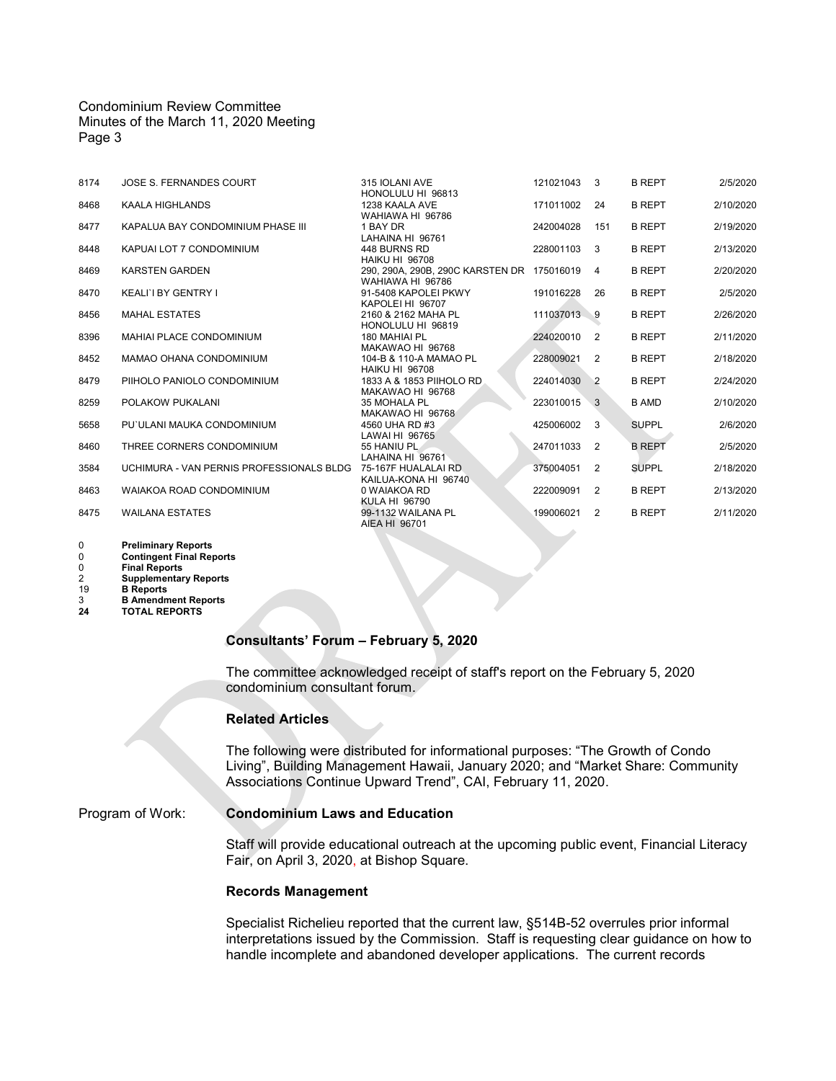#### Condominium Review Committee Minutes of the March 11, 2020 Meeting Page 3

| 8174 | JOSE S. FERNANDES COURT                                      | 315 IOLANI AVE<br>HONOLULU HI 96813                            | 121021043 | 3              | <b>B REPT</b> | 2/5/2020  |
|------|--------------------------------------------------------------|----------------------------------------------------------------|-----------|----------------|---------------|-----------|
| 8468 | KAALA HIGHLANDS                                              | 1238 KAALA AVE<br>WAHIAWA HI 96786                             | 171011002 | 24             | <b>B REPT</b> | 2/10/2020 |
| 8477 | KAPALUA BAY CONDOMINIUM PHASE III                            | 1 BAY DR<br>LAHAINA HI 96761                                   | 242004028 | 151            | <b>B REPT</b> | 2/19/2020 |
| 8448 | KAPUAI LOT 7 CONDOMINIUM                                     | 448 BURNS RD<br><b>HAIKU HI 96708</b>                          | 228001103 | 3              | <b>B REPT</b> | 2/13/2020 |
| 8469 | <b>KARSTEN GARDEN</b>                                        | 290, 290A, 290B, 290C KARSTEN DR 175016019<br>WAHIAWA HI 96786 |           | 4              | <b>B REPT</b> | 2/20/2020 |
| 8470 | KEALI'I BY GENTRY I                                          | 91-5408 KAPOLEI PKWY<br>KAPOLEI HI 96707                       | 191016228 | 26             | <b>B REPT</b> | 2/5/2020  |
| 8456 | <b>MAHAL ESTATES</b>                                         | 2160 & 2162 MAHA PL<br>HONOLULU HI 96819                       | 111037013 | $\overline{9}$ | <b>B REPT</b> | 2/26/2020 |
| 8396 | MAHIAI PLACE CONDOMINIUM                                     | 180 MAHIAI PL<br>MAKAWAO HI 96768                              | 224020010 | 2              | <b>B REPT</b> | 2/11/2020 |
| 8452 | MAMAO OHANA CONDOMINIUM                                      | 104-B & 110-A MAMAO PL<br><b>HAIKU HI 96708</b>                | 228009021 | 2              | <b>B REPT</b> | 2/18/2020 |
| 8479 | PIIHOLO PANIOLO CONDOMINIUM                                  | 1833 A & 1853 PIIHOLO RD<br>MAKAWAO HI 96768                   | 224014030 | $\overline{2}$ | <b>B REPT</b> | 2/24/2020 |
| 8259 | POLAKOW PUKALANI                                             | 35 MOHALA PL<br>MAKAWAO HI 96768                               | 223010015 | 3              | <b>B AMD</b>  | 2/10/2020 |
| 5658 | PU`ULANI MAUKA CONDOMINIUM                                   | 4560 UHA RD #3<br>LAWAI HI 96765                               | 425006002 | -3             | <b>SUPPL</b>  | 2/6/2020  |
| 8460 | THREE CORNERS CONDOMINIUM                                    | 55 HANIU PL<br>LAHAINA HI 96761                                | 247011033 | 2              | <b>B REPT</b> | 2/5/2020  |
| 3584 | UCHIMURA - VAN PERNIS PROFESSIONALS BLDG 75-167F HUALALAI RD | KAILUA-KONA HI 96740                                           | 375004051 | 2              | <b>SUPPL</b>  | 2/18/2020 |
| 8463 | WAIAKOA ROAD CONDOMINIUM                                     | 0 WAIAKOA RD<br>KULA HI 96790                                  | 222009091 | 2              | <b>B REPT</b> | 2/13/2020 |
| 8475 | <b>WAILANA ESTATES</b>                                       | 99-1132 WAILANA PL<br>AIEA HI 96701                            | 199006021 | 2              | <b>B REPT</b> | 2/11/2020 |
|      |                                                              |                                                                |           |                |               |           |

 **Preliminary Reports Contingent Final Reports<br>
2 <b>Contingent Final Reports**<br>
2 **Supplementary Reports Final Reports Supplementary Reports**

19 **B Reports**

3 **B Amendment Reports 24 TOTAL REPORTS**

**Consultants' Forum – February 5, 2020**

The committee acknowledged receipt of staff's report on the February 5, 2020 condominium consultant forum.

## **Related Articles**

The following were distributed for informational purposes: "The Growth of Condo Living", Building Management Hawaii, January 2020; and "Market Share: Community Associations Continue Upward Trend", CAI, February 11, 2020.

### Program of Work: **Condominium Laws and Education**

Staff will provide educational outreach at the upcoming public event, Financial Literacy Fair, on April 3, 2020, at Bishop Square.

#### **Records Management**

Specialist Richelieu reported that the current law, §514B-52 overrules prior informal interpretations issued by the Commission. Staff is requesting clear guidance on how to handle incomplete and abandoned developer applications. The current records